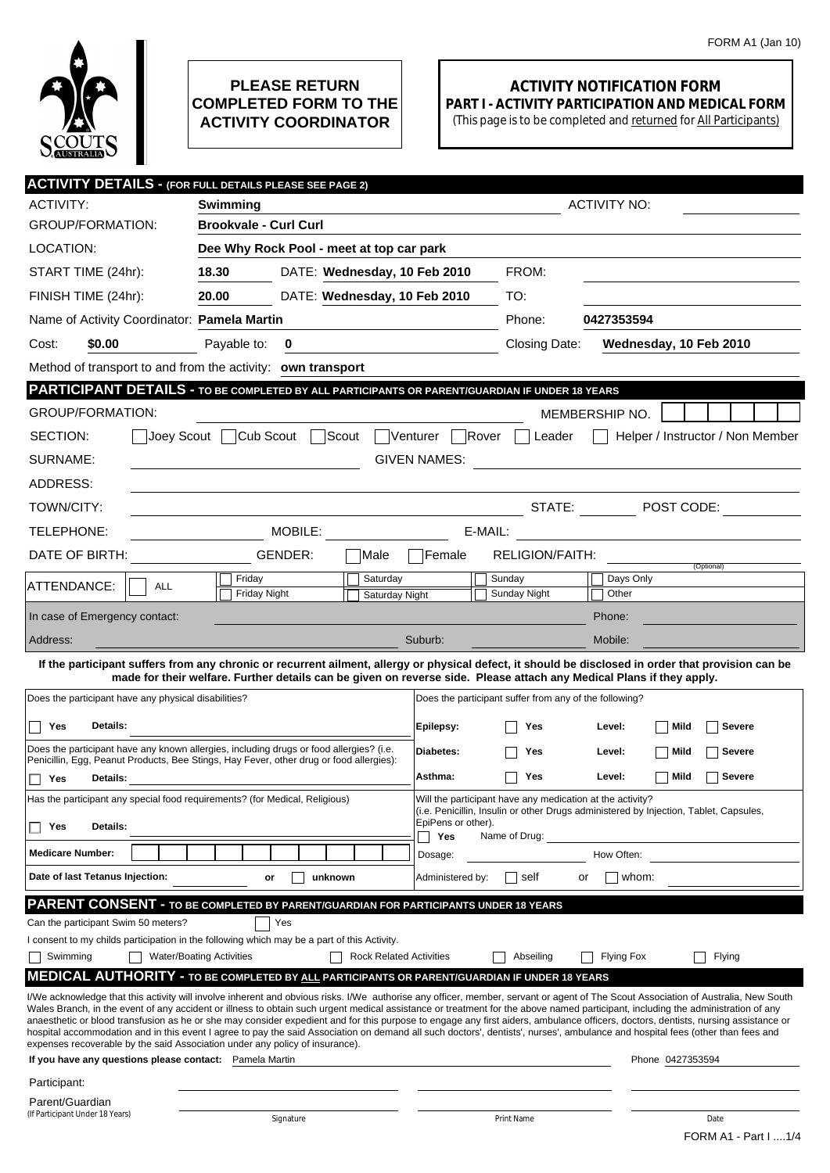

## **PLEASE RETURN COMPLETED FORM TO THE ACTIVITY COORDINATOR**

## **ACTIVITY NOTIFICATION FORM PART I - ACTIVITY PARTICIPATION AND MEDICAL FORM**

(This page is to be completed and returned for All Participants)

| <b>ACTIVITY DETAILS - (FOR FULL DETAILS PLEASE SEE PAGE 2)</b>                                                                                                                                                                                                                                                                                                                                                                                                                                                                                           |                                                                                                                      |                                |                        |                                                                                                                                                                                                  |                        |                                  |  |
|----------------------------------------------------------------------------------------------------------------------------------------------------------------------------------------------------------------------------------------------------------------------------------------------------------------------------------------------------------------------------------------------------------------------------------------------------------------------------------------------------------------------------------------------------------|----------------------------------------------------------------------------------------------------------------------|--------------------------------|------------------------|--------------------------------------------------------------------------------------------------------------------------------------------------------------------------------------------------|------------------------|----------------------------------|--|
| ACTIVITY:                                                                                                                                                                                                                                                                                                                                                                                                                                                                                                                                                | Swimming                                                                                                             |                                | <b>ACTIVITY NO:</b>    |                                                                                                                                                                                                  |                        |                                  |  |
| GROUP/FORMATION:                                                                                                                                                                                                                                                                                                                                                                                                                                                                                                                                         | <b>Brookvale - Curl Curl</b>                                                                                         |                                |                        |                                                                                                                                                                                                  |                        |                                  |  |
| LOCATION:                                                                                                                                                                                                                                                                                                                                                                                                                                                                                                                                                | Dee Why Rock Pool - meet at top car park                                                                             |                                |                        |                                                                                                                                                                                                  |                        |                                  |  |
| START TIME (24hr):                                                                                                                                                                                                                                                                                                                                                                                                                                                                                                                                       | 18.30                                                                                                                | DATE: Wednesday, 10 Feb 2010   |                        | FROM:                                                                                                                                                                                            |                        |                                  |  |
| FINISH TIME (24hr):                                                                                                                                                                                                                                                                                                                                                                                                                                                                                                                                      | 20.00                                                                                                                | DATE: Wednesday, 10 Feb 2010   |                        | TO:                                                                                                                                                                                              |                        |                                  |  |
| Name of Activity Coordinator: Pamela Martin                                                                                                                                                                                                                                                                                                                                                                                                                                                                                                              |                                                                                                                      |                                |                        | Phone:                                                                                                                                                                                           | 0427353594             |                                  |  |
| \$0.00<br>Cost:                                                                                                                                                                                                                                                                                                                                                                                                                                                                                                                                          | Payable to:<br>0                                                                                                     |                                |                        | Closing Date:                                                                                                                                                                                    | Wednesday, 10 Feb 2010 |                                  |  |
| Method of transport to and from the activity: own transport                                                                                                                                                                                                                                                                                                                                                                                                                                                                                              |                                                                                                                      |                                |                        |                                                                                                                                                                                                  |                        |                                  |  |
| PARTICIPANT DETAILS - TO BE COMPLETED BY ALL PARTICIPANTS OR PARENT/GUARDIAN IF UNDER 18 YEARS                                                                                                                                                                                                                                                                                                                                                                                                                                                           |                                                                                                                      |                                |                        |                                                                                                                                                                                                  |                        |                                  |  |
| <b>GROUP/FORMATION:</b>                                                                                                                                                                                                                                                                                                                                                                                                                                                                                                                                  |                                                                                                                      |                                |                        |                                                                                                                                                                                                  | MEMBERSHIP NO.         |                                  |  |
| SECTION:<br>Joey Scout                                                                                                                                                                                                                                                                                                                                                                                                                                                                                                                                   | Cub Scout<br>Scout                                                                                                   |                                | Venturer               | Rover<br>Leader                                                                                                                                                                                  |                        | Helper / Instructor / Non Member |  |
| SURNAME:                                                                                                                                                                                                                                                                                                                                                                                                                                                                                                                                                 |                                                                                                                      |                                | <b>GIVEN NAMES:</b>    |                                                                                                                                                                                                  |                        |                                  |  |
| ADDRESS:                                                                                                                                                                                                                                                                                                                                                                                                                                                                                                                                                 |                                                                                                                      |                                |                        |                                                                                                                                                                                                  |                        |                                  |  |
| TOWN/CITY:                                                                                                                                                                                                                                                                                                                                                                                                                                                                                                                                               |                                                                                                                      |                                |                        | STATE:                                                                                                                                                                                           |                        | $\blacksquare$ POST CODE:        |  |
| TELEPHONE:                                                                                                                                                                                                                                                                                                                                                                                                                                                                                                                                               | MOBILE:<br>E-MAIL:                                                                                                   |                                |                        |                                                                                                                                                                                                  |                        |                                  |  |
| DATE OF BIRTH:                                                                                                                                                                                                                                                                                                                                                                                                                                                                                                                                           | GENDER:                                                                                                              | Male                           | Female                 | RELIGION/FAITH:                                                                                                                                                                                  |                        |                                  |  |
|                                                                                                                                                                                                                                                                                                                                                                                                                                                                                                                                                          | Friday                                                                                                               | Saturday                       |                        | Sunday                                                                                                                                                                                           | Days Only              | (Optional)                       |  |
| ATTENDANCE:<br><b>ALL</b>                                                                                                                                                                                                                                                                                                                                                                                                                                                                                                                                | <b>Friday Night</b>                                                                                                  | Saturday Night                 |                        | Sunday Night                                                                                                                                                                                     | Other                  |                                  |  |
| In case of Emergency contact:                                                                                                                                                                                                                                                                                                                                                                                                                                                                                                                            |                                                                                                                      |                                |                        |                                                                                                                                                                                                  | Phone:                 |                                  |  |
| Address:                                                                                                                                                                                                                                                                                                                                                                                                                                                                                                                                                 |                                                                                                                      |                                | Suburb:                |                                                                                                                                                                                                  | Mobile:                |                                  |  |
| If the participant suffers from any chronic or recurrent ailment, allergy or physical defect, it should be disclosed in order that provision can be                                                                                                                                                                                                                                                                                                                                                                                                      | made for their welfare. Further details can be given on reverse side. Please attach any Medical Plans if they apply. |                                |                        |                                                                                                                                                                                                  |                        |                                  |  |
| Does the participant have any physical disabilities?                                                                                                                                                                                                                                                                                                                                                                                                                                                                                                     |                                                                                                                      |                                |                        | Does the participant suffer from any of the following?                                                                                                                                           |                        |                                  |  |
|                                                                                                                                                                                                                                                                                                                                                                                                                                                                                                                                                          |                                                                                                                      |                                |                        |                                                                                                                                                                                                  |                        | Mild<br><b>Severe</b>            |  |
| Yes<br>Details:<br>Does the participant have any known allergies, including drugs or food allergies? (i.e.                                                                                                                                                                                                                                                                                                                                                                                                                                               |                                                                                                                      |                                | Epilepsy:<br>Diabetes: | Yes                                                                                                                                                                                              | Level:                 |                                  |  |
| Penicillin, Egg, Peanut Products, Bee Stings, Hay Fever, other drug or food allergies):                                                                                                                                                                                                                                                                                                                                                                                                                                                                  |                                                                                                                      |                                |                        | Yes                                                                                                                                                                                              | Level:                 | Mild<br><b>Severe</b>            |  |
| Yes<br>Details:                                                                                                                                                                                                                                                                                                                                                                                                                                                                                                                                          |                                                                                                                      |                                |                        | Yes                                                                                                                                                                                              | Level:                 | Mild<br><b>Severe</b>            |  |
| Has the participant any special food requirements? (for Medical, Religious)<br>Details:<br>Yes                                                                                                                                                                                                                                                                                                                                                                                                                                                           |                                                                                                                      |                                |                        | Will the participant have any medication at the activity?<br>(i.e. Penicillin, Insulin or other Drugs administered by Injection, Tablet, Capsules,<br>EpiPens or other).<br>Yes<br>Name of Drug: |                        |                                  |  |
|                                                                                                                                                                                                                                                                                                                                                                                                                                                                                                                                                          |                                                                                                                      |                                |                        |                                                                                                                                                                                                  |                        |                                  |  |
| Date of last Tetanus Injection:                                                                                                                                                                                                                                                                                                                                                                                                                                                                                                                          | unknown<br>or                                                                                                        |                                | Administered by:       | self                                                                                                                                                                                             | whom:<br>or            |                                  |  |
| PARENT CONSENT - TO BE COMPLETED BY PARENT/GUARDIAN FOR PARTICIPANTS UNDER 18 YEARS                                                                                                                                                                                                                                                                                                                                                                                                                                                                      |                                                                                                                      |                                |                        |                                                                                                                                                                                                  |                        |                                  |  |
| Can the participant Swim 50 meters?                                                                                                                                                                                                                                                                                                                                                                                                                                                                                                                      | Yes                                                                                                                  |                                |                        |                                                                                                                                                                                                  |                        |                                  |  |
| I consent to my childs participation in the following which may be a part of this Activity.                                                                                                                                                                                                                                                                                                                                                                                                                                                              |                                                                                                                      |                                |                        |                                                                                                                                                                                                  |                        |                                  |  |
| Swimming                                                                                                                                                                                                                                                                                                                                                                                                                                                                                                                                                 | <b>Water/Boating Activities</b>                                                                                      | <b>Rock Related Activities</b> |                        | Abseiling                                                                                                                                                                                        | <b>Flying Fox</b>      | Flying                           |  |
| <b>MEDICAL AUTHORITY - TO BE COMPLETED BY ALL PARTICIPANTS OR PARENT/GUARDIAN IF UNDER 18 YEARS</b><br>I/We acknowledge that this activity will involve inherent and obvious risks. I/We authorise any officer, member, servant or agent of The Scout Association of Australia, New South                                                                                                                                                                                                                                                                |                                                                                                                      |                                |                        |                                                                                                                                                                                                  |                        |                                  |  |
| Wales Branch, in the event of any accident or illness to obtain such urgent medical assistance or treatment for the above named participant, including the administration of any<br>anaesthetic or blood transfusion as he or she may consider expedient and for this purpose to engage any first aiders, ambulance officers, doctors, dentists, nursing assistance or<br>hospital accommodation and in this event I agree to pay the said Association on demand all such doctors', dentists', nurses', ambulance and hospital fees (other than fees and |                                                                                                                      |                                |                        |                                                                                                                                                                                                  |                        |                                  |  |
| expenses recoverable by the said Association under any policy of insurance).<br>If you have any questions please contact: Pamela Martin                                                                                                                                                                                                                                                                                                                                                                                                                  |                                                                                                                      |                                |                        |                                                                                                                                                                                                  | Phone 0427353594       |                                  |  |
| Participant:                                                                                                                                                                                                                                                                                                                                                                                                                                                                                                                                             |                                                                                                                      |                                |                        |                                                                                                                                                                                                  |                        |                                  |  |
| Parent/Guardian                                                                                                                                                                                                                                                                                                                                                                                                                                                                                                                                          |                                                                                                                      |                                |                        |                                                                                                                                                                                                  |                        |                                  |  |
| (If Participant Under 18 Years)                                                                                                                                                                                                                                                                                                                                                                                                                                                                                                                          | Signature                                                                                                            |                                |                        | Print Name                                                                                                                                                                                       |                        | Date<br>FORM A1 - Part I  1/4    |  |